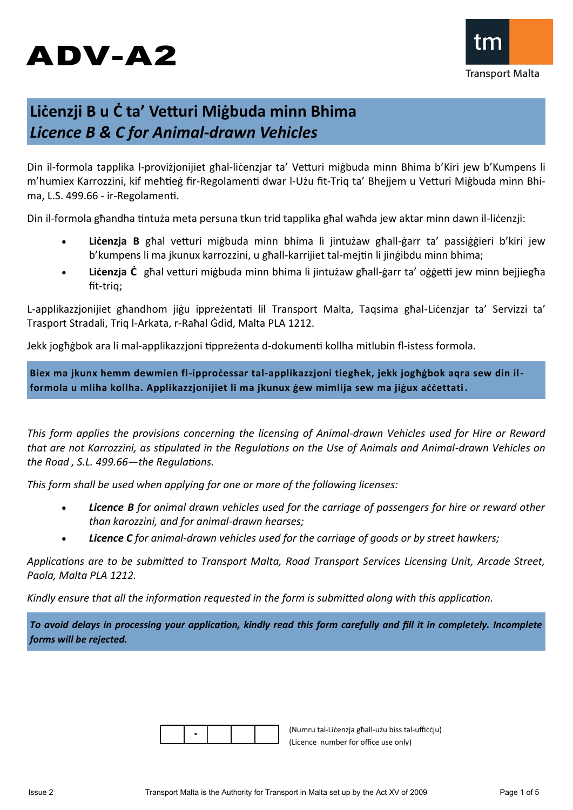# ADV-A2



# **Liċenzji B u Ċ ta' Vetturi Miġbuda minn Bhima**  *Licence B & C for Animal-drawn Vehicles*

Din il-formola tapplika l-proviżjonijiet għal-liċenzjar ta' Vetturi miġbuda minn Bhima b'Kiri jew b'Kumpens li m'humiex Karrozzini, kif meħtieġ fir-Regolamenti dwar l-Użu fit-Triq ta' Bhejjem u Vetturi Miġbuda minn Bhima, L.S. 499.66 - ir-Regolamenti.

Din il-formola għandha tintuża meta persuna tkun trid tapplika għal waħda jew aktar minn dawn il-liċenzji:

- Licenzja B għal vetturi miġbuda minn bhima li jintużaw għall-ġarr ta' passiġġieri b'kiri jew b'kumpens li ma jkunux karrozzini, u għall-karrijiet tal-mejtin li jinġibdu minn bhima;
- **Liċenzja Ċ** għal vetturi miġbuda minn bhima li jintużaw għall-ġarr ta' oġġetti jew minn bejjiegħa fit-triq;

L-applikazzjonijiet għandhom jiġu ippreżentati lil Transport Malta, Taqsima għal-Liċenzjar ta' Servizzi ta' Trasport Stradali, Triq l-Arkata, r-Raħal Ġdid, Malta PLA 1212.

Jekk jogħġbok ara li mal-applikazzjoni tippreżenta d-dokumenti kollha mitlubin fl-istess formola.

**Biex ma jkunx hemm dewmien fl-ipproċessar tal-applikazzjoni tiegħek, jekk jogħġbok aqra sew din ilformola u mliha kollha. Applikazzjonijiet li ma jkunux ġew mimlija sew ma jiġux aċċettati .**

*This form applies the provisions concerning the licensing of Animal-drawn Vehicles used for Hire or Reward that are not Karrozzini, as stipulated in the Regulations on the Use of Animals and Animal-drawn Vehicles on the Road , S.L. 499.66—the Regulations.*

*This form shall be used when applying for one or more of the following licenses:*

- *Licence B for animal drawn vehicles used for the carriage of passengers for hire or reward other than karozzini, and for animal-drawn hearses;*
- *Licence C for animal-drawn vehicles used for the carriage of goods or by street hawkers;*

*Applications are to be submitted to Transport Malta, Road Transport Services Licensing Unit, Arcade Street, Paola, Malta PLA 1212.*

*Kindly ensure that all the information requested in the form is submitted along with this application.* 

*To avoid delays in processing your application, kindly read this form carefully and fill it in completely. Incomplete forms will be rejected.*

(Numru tal-Liċenzja għall-użu biss tal-uffiċċju) (Licence number for office use only)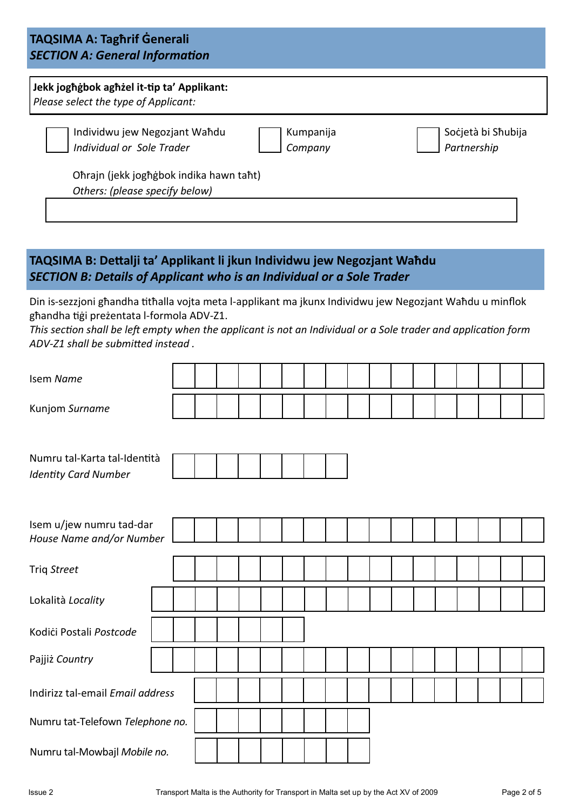# **TAQSIMA A: Tagħrif Ġenerali** *SECTION A: General Information*

| Jekk joghgbok aghzel it-tip ta' Applikant:<br>Please select the type of Applicant: |                      |                                   |
|------------------------------------------------------------------------------------|----------------------|-----------------------------------|
| Individwu jew Negozjant Wahdu<br>Individual or Sole Trader                         | Kumpanija<br>Company | Socjetà bi Shubija<br>Partnership |
| Ohrajn (jekk joghgbok indika hawn taht)<br>Others: (please specify below)          |                      |                                   |

# **TAQSIMA B: Dettalji ta' Applikant li jkun Individwu jew Negozjant Waħdu** *SECTION B: Details of Applicant who is an Individual or a Sole Trader*

Din is-sezzjoni għandha titħalla vojta meta l-applikant ma jkunx Individwu jew Negozjant Waħdu u minflok għandha tiġi preżentata l-formola ADV-Z1.

*This section shall be left empty when the applicant is not an Individual or a Sole trader and application form ADV-Z1 shall be submitted instead .* 

| Isem Name                        |  |  |  |  |  |  |  |  |  |
|----------------------------------|--|--|--|--|--|--|--|--|--|
| Kunjom Surname                   |  |  |  |  |  |  |  |  |  |
|                                  |  |  |  |  |  |  |  |  |  |
| Numru tal-Karta tal-Identità     |  |  |  |  |  |  |  |  |  |
| <b>Identity Card Number</b>      |  |  |  |  |  |  |  |  |  |
|                                  |  |  |  |  |  |  |  |  |  |
| Isem u/jew numru tad-dar         |  |  |  |  |  |  |  |  |  |
| House Name and/or Number         |  |  |  |  |  |  |  |  |  |
| Triq Street                      |  |  |  |  |  |  |  |  |  |
| Lokalità Locality                |  |  |  |  |  |  |  |  |  |
| Kodići Postali Postcode          |  |  |  |  |  |  |  |  |  |
| Pajjiż Country                   |  |  |  |  |  |  |  |  |  |
| Indirizz tal-email Email address |  |  |  |  |  |  |  |  |  |
| Numru tat-Telefown Telephone no. |  |  |  |  |  |  |  |  |  |
| Numru tal-Mowbajl Mobile no.     |  |  |  |  |  |  |  |  |  |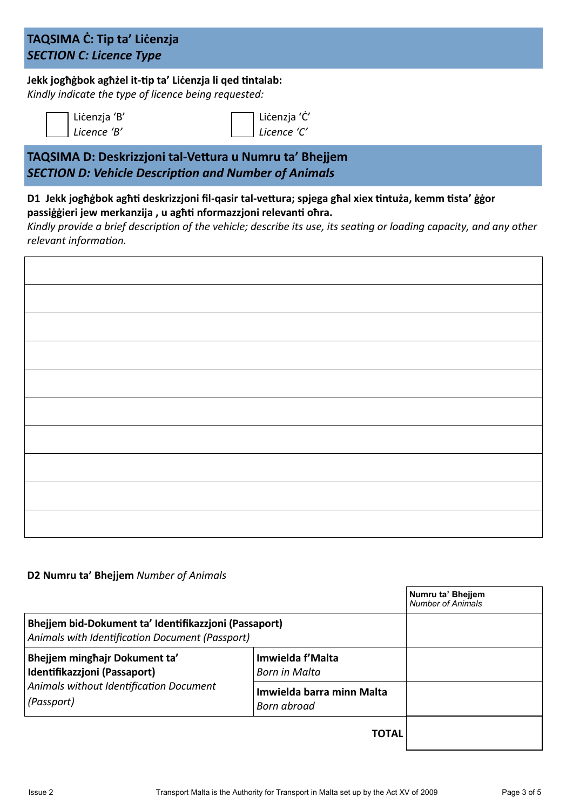# **TAQSIMA Ċ: Tip ta' Liċenzja**  *SECTION C: Licence Type*

# **Jekk jogħġbok agħżel it-tip ta' Liċenzja li qed tintalab:**

*Kindly indicate the type of licence being requested:*

| Licenzja 'B' |
|--------------|
| Licence 'B'  |

**TAQSIMA D: Deskrizzjoni tal-Vettura u Numru ta' Bhejjem** *SECTION D: Vehicle Description and Number of Animals*

### **D1 Jekk jogħġbok agħti deskrizzjoni fil-qasir tal-vettura; spjega għal xiex tintuża, kemm tista' ġġor passiġġieri jew merkanzija , u agħti nformazzjoni relevanti oħra.**

*Kindly provide a brief description of the vehicle; describe its use, its seating or loading capacity, and any other relevant information.*

Liċenzja 'Ċ' *Licence 'C'*

### **D2 Numru ta' Bhejjem** *Number of Animals*

|                                                                                                          |                                          | Numru ta' Bheijem<br><b>Number of Animals</b> |
|----------------------------------------------------------------------------------------------------------|------------------------------------------|-----------------------------------------------|
| Bhejjem bid-Dokument ta' Identifikazzjoni (Passaport)<br>Animals with Identification Document (Passport) |                                          |                                               |
| Bhejjem minghajr Dokument ta'<br>Identifikazzjoni (Passaport)                                            | Imwielda f'Malta<br>Born in Malta        |                                               |
| Animals without Identification Document<br>(Passport)                                                    | Imwielda barra minn Malta<br>Born abroad |                                               |
|                                                                                                          | TOTAL                                    |                                               |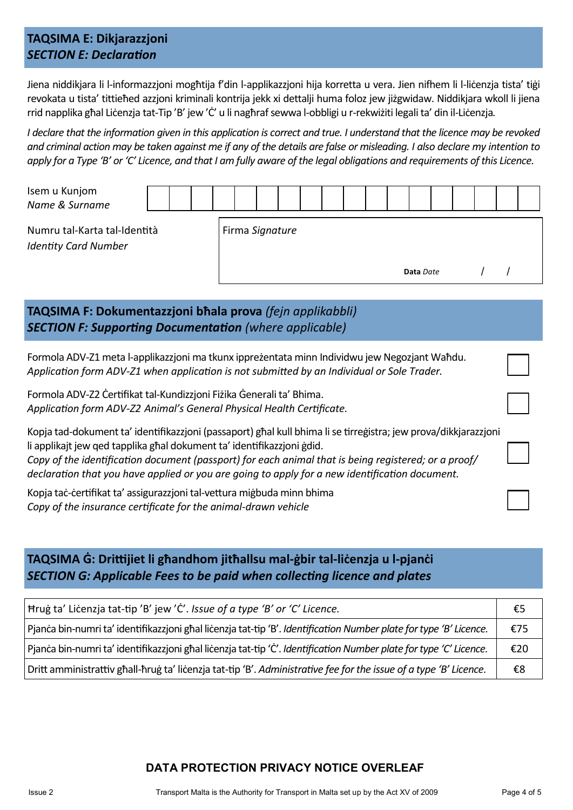# **TAQSIMA E: Dikjarazzjoni** *SECTION E: Declaration*

Jiena niddikjara li l-informazzjoni mogħtija f'din l-applikazzjoni hija korretta u vera. Jien nifhem li l-liċenzja tista' tiġi revokata u tista' tittieħed azzjoni kriminali kontrija jekk xi dettalji huma foloz jew jiżgwidaw. Niddikjara wkoll li jiena rrid napplika għal Liċenzja tat-Tip 'B' jew 'Ċ' u li nagħraf sewwa l-obbligi u r-rekwiżiti legali ta' din il-Liċenzja*.*

*I declare that the information given in this application is correct and true. I understand that the licence may be revoked and criminal action may be taken against me if any of the details are false or misleading. I also declare my intention to apply for a Type 'B' or 'C' Licence, and that I am fully aware of the legal obligations and requirements of this Licence.*

| Isem u Kunjom<br>Name & Surname                             |  |  |  |  |                 |  |  |  |           |  |  |  |
|-------------------------------------------------------------|--|--|--|--|-----------------|--|--|--|-----------|--|--|--|
| Numru tal-Karta tal-Identità<br><b>Identity Card Number</b> |  |  |  |  | Firma Signature |  |  |  |           |  |  |  |
|                                                             |  |  |  |  |                 |  |  |  | Data Date |  |  |  |

# **TAQSIMA F: Dokumentazzjoni bħala prova** *(fejn applikabbli) SECTION F: Supporting Documentation (where applicable)*

Formola ADV-Z1 meta l-applikazzjoni ma tkunx ippreżentata minn Individwu jew Negozjant Waħdu. *Application form ADV-Z1 when application is not submitted by an Individual or Sole Trader.*

Formola ADV-Z2 Ċertifikat tal-Kundizzjoni Fiżika Ġenerali ta' Bhima. *Application form ADV-Z2 Animal's General Physical Health Certificate.*

Kopja tad-dokument ta' identifikazzjoni (passaport) għal kull bhima li se tirreġistra; jew prova/dikkjarazzjoni li applikajt jew qed tapplika għal dokument ta' identifikazzjoni ġdid. *Copy of the identification document (passport) for each animal that is being registered; or a proof/ declaration that you have applied or you are going to apply for a new identification document.*

Kopja taċ-ċertifikat ta' assigurazzjoni tal-vettura miġbuda minn bhima *Copy of the insurance certificate for the animal-drawn vehicle*

# **TAQSIMA Ġ: Drittijiet li għandhom jitħallsu mal-ġbir tal-liċenzja u l-pjanċi** *SECTION G: Applicable Fees to be paid when collecting licence and plates*

| Hrug ta' Licenzja tat-tip 'B' jew 'C'. Issue of a type 'B' or 'C' Licence.                                         |     |  |  |  |  |
|--------------------------------------------------------------------------------------------------------------------|-----|--|--|--|--|
| Pjanca bin-numri ta' identifikazzjoni ghal licenzja tat-tip 'B'. Identification Number plate for type 'B' Licence. | €75 |  |  |  |  |
| Pjanca bin-numri ta' identifikazzjoni ghal licenzja tat-tip 'C'. Identification Number plate for type 'C' Licence. | €20 |  |  |  |  |
| Dritt amministrattiv ghall-hrug ta' licenzja tat-tip 'B'. Administrative fee for the issue of a type 'B' Licence.  | €8  |  |  |  |  |

## **DATA PROTECTION PRIVACY NOTICE OVERLEAF**